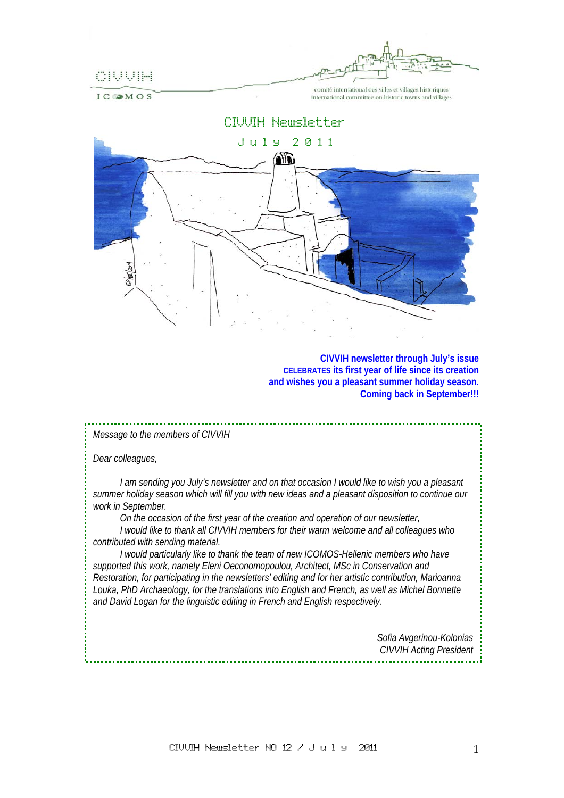

IC OMOS

comité international des villes et villages historiques international committee on historic towns and villages

# CIVVIH Newsletter



**CIVVIH newsletter through July's issue CELEBRATES its first year of life since its creation and wishes you a pleasant summer holiday season. Coming back in September!!!** 

## *Message to the members of CIVVIH*

*Dear colleagues,* 

*I am sending you July's newsletter and on that occasion I would like to wish you a pleasant summer holiday season which will fill you with new ideas and a pleasant disposition to continue our work in September.* 

*On the occasion of the first year of the creation and operation of our newsletter,* 

*I would like to thank all CIVVIH members for their warm welcome and all colleagues who contributed with sending material.* 

*I would particularly like to thank the team of new ICOMOS-Hellenic members who have supported this work, namely Eleni Oeconomopoulou, Architect, MSc in Conservation and Restoration, for participating in the newsletters' editing and for her artistic contribution, Marioanna Louka, PhD Archaeology, for the translations into English and French, as well as Michel Bonnette and David Logan for the linguistic editing in French and English respectively.* 

> *Sofia Avgerinou-Kolonias CIVVIH Acting President*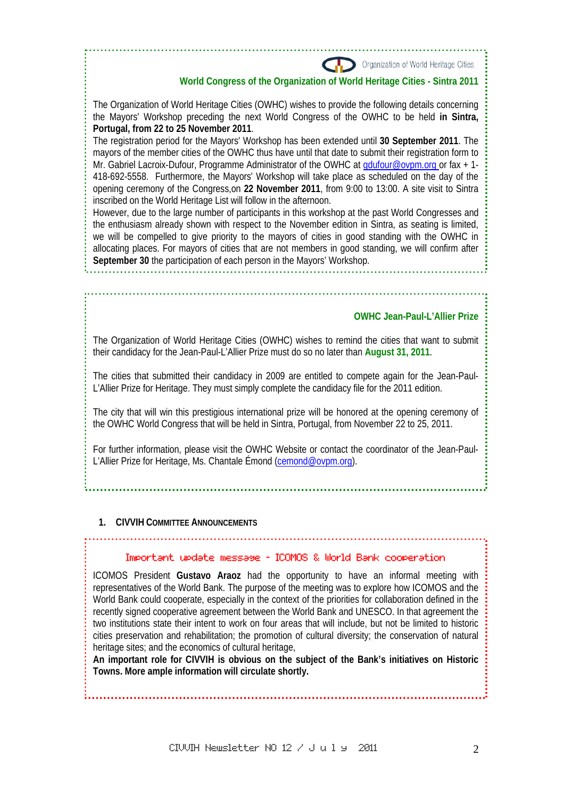Organization of World Heritage Cities

#### **World Congress of the Organization of World Heritage Cities - Sintra 2011**

The Organization of World Heritage Cities (OWHC) wishes to provide the following details concerning the Mayors' Workshop preceding the next World Congress of the OWHC to be held **in Sintra, Portugal, from 22 to 25 November 2011**.

The registration period for the Mayors' Workshop has been extended until **30 September 2011**. The mayors of the member cities of the OWHC thus have until that date to submit their registration form to Mr. Gabriel Lacroix-Dufour, Programme Administrator of the OWHC at gdufour@ovpm.org or fax + 1-418-692-5558. Furthermore, the Mayors' Workshop will take place as scheduled on the day of the opening ceremony of the Congress,on **22 November 2011**, from 9:00 to 13:00. A site visit to Sintra inscribed on the World Heritage List will follow in the afternoon.

However, due to the large number of participants in this workshop at the past World Congresses and the enthusiasm already shown with respect to the November edition in Sintra, as seating is limited, we will be compelled to give priority to the mayors of cities in good standing with the OWHC in allocating places. For mayors of cities that are not members in good standing, we will confirm after **September 30** the participation of each person in the Mayors' Workshop.

#### **OWHC Jean-Paul-L'Allier Prize**

The Organization of World Heritage Cities (OWHC) wishes to remind the cities that want to submit their candidacy for the Jean-Paul-L'Allier Prize must do so no later than **August 31, 2011**.

The cities that submitted their candidacy in 2009 are entitled to compete again for the Jean-Paul-L'Allier Prize for Heritage. They must simply complete the candidacy file for the 2011 edition.

The city that will win this prestigious international prize will be honored at the opening ceremony of the OWHC World Congress that will be held in Sintra, Portugal, from November 22 to 25, 2011.

For further information, please visit the OWHC Website or contact the coordinator of the Jean-Paul-L'Allier Prize for Heritage, Ms. Chantale Émond (cemond@ovpm.org).

#### **1. CIVVIH COMMITTEE ANNOUNCEMENTS**

#### $\overline{a}$ Important update message - ICOMOS & World Bank cooperation

ICOMOS President **Gustavo Araoz** had the opportunity to have an informal meeting with representatives of the World Bank. The purpose of the meeting was to explore how ICOMOS and the World Bank could cooperate, especially in the context of the priorities for collaboration defined in the recently signed cooperative agreement between the World Bank and UNESCO. In that agreement the two institutions state their intent to work on four areas that will include, but not be limited to historic cities preservation and rehabilitation; the promotion of cultural diversity; the conservation of natural heritage sites; and the economics of cultural heritage,

**An important role for CIVVIH is obvious on the subject of the Bank's initiatives on Historic Towns. More ample information will circulate shortly.**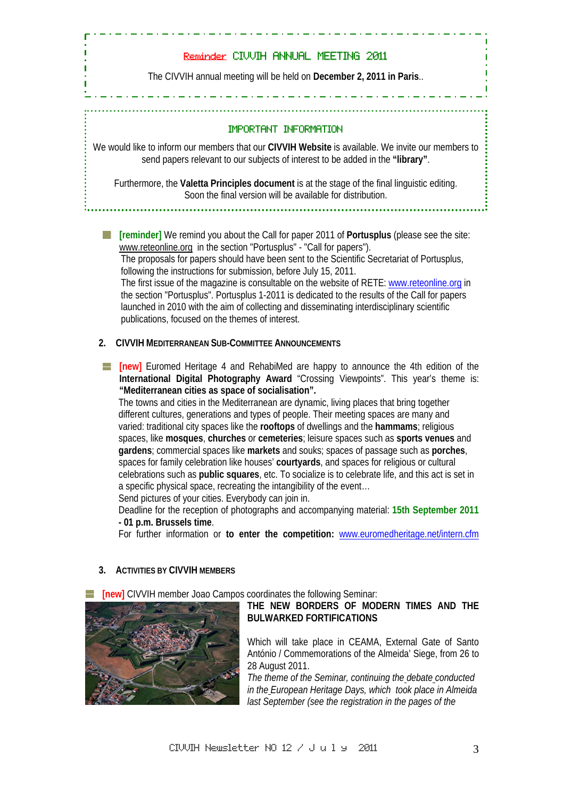# Reminder CIVVIH ANNUAL MEETING 2011

The CIVVIH annual meeting will be held on **December 2, 2011 in Paris**..

# IMPORTANT INFORMATION

We would like to inform our members that our **CIVVIH Website** is available. We invite our members to send papers relevant to our subjects of interest to be added in the **"library"**.

Furthermore, the **Valetta Principles document** is at the stage of the final linguistic editing. Soon the final version will be available for distribution.

**[art freminder]** We remind you about the Call for paper 2011 of **Portusplus** (please see the site: www.reteonline.org in the section "Portusplus" - "Call for papers"). The proposals for papers should have been sent to the Scientific Secretariat of Portusplus, following the instructions for submission, before July 15, 2011. The first issue of the magazine is consultable on the website of RETE: www.reteonline.org in the section "Portusplus". Portusplus 1-2011 is dedicated to the results of the Call for papers launched in 2010 with the aim of collecting and disseminating interdisciplinary scientific publications, focused on the themes of interest.

## **2. CIVVIH MEDITERRANEAN SUB-COMMITTEE ANNOUNCEMENTS**

**[new]** Euromed Heritage 4 and RehabiMed are happy to announce the 4th edition of the **International Digital Photography Award** "Crossing Viewpoints". This year's theme is: **"Mediterranean cities as space of socialisation".** 

 The towns and cities in the Mediterranean are dynamic, living places that bring together different cultures, generations and types of people. Their meeting spaces are many and varied: traditional city spaces like the **rooftops** of dwellings and the **hammams**; religious spaces, like **mosques**, **churches** or **cemeteries**; leisure spaces such as **sports venues** and **gardens**; commercial spaces like **markets** and souks; spaces of passage such as **porches**, spaces for family celebration like houses' **courtyards**, and spaces for religious or cultural celebrations such as **public squares**, etc. To socialize is to celebrate life, and this act is set in a specific physical space, recreating the intangibility of the event…

Send pictures of your cities. Everybody can join in.

 Deadline for the reception of photographs and accompanying material: **15th September 2011 - 01 p.m. Brussels time**.

For further information or **to enter the competition:** www.euromedheritage.net/intern.cfm

## **3. ACTIVITIES BY CIVVIH MEMBERS**

**[new]** CIVVIH member Joao Campos coordinates the following Seminar:



# **THE NEW BORDERS OF MODERN TIMES AND THE BULWARKED FORTIFICATIONS**

Which will take place in CEAMA, External Gate of Santo António / Commemorations of the Almeida' Siege, from 26 to 28 August 2011.

*The theme of the Seminar, continuing the debate conducted in the European Heritage Days, which took place in Almeida last September (see the registration in the pages of the*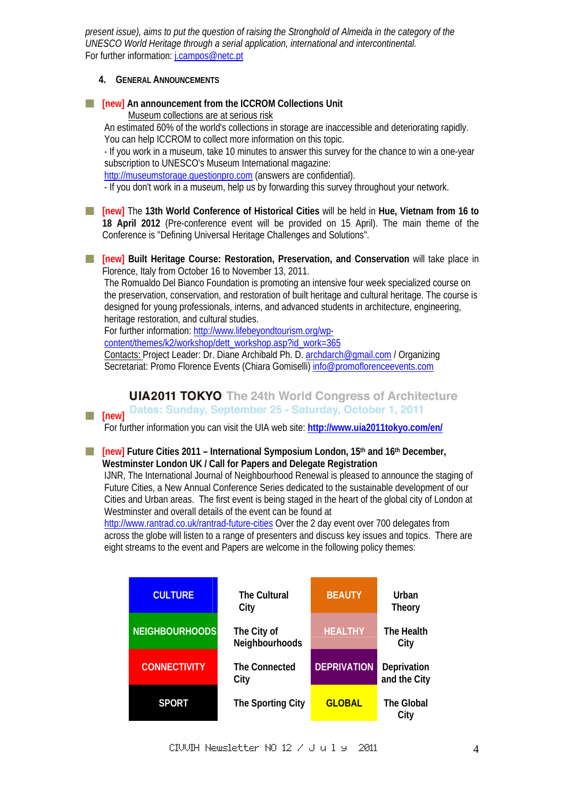*present issue), aims to put the question of raising the Stronghold of Almeida in the category of the UNESCO World Heritage through a serial application, international and intercontinental.*  For further information: *j.campos@netc.pt* 

## **4. GENERAL ANNOUNCEMENTS**

 $\blacksquare$  [new] An announcement from the ICCROM Collections Unit Museum collections are at serious risk

 An estimated 60% of the world's collections in storage are inaccessible and deteriorating rapidly. You can help ICCROM to collect more information on this topic.

 - If you work in a museum, take 10 minutes to answer this survey for the chance to win a one-year subscription to UNESCO's Museum International magazine:

http://museumstorage.questionpro.com (answers are confidential).

- If you don't work in a museum, help us by forwarding this survey throughout your network.

**[new]** The **13th World Conference of Historical Cities** will be held in **Hue, Vietnam from 16 to 18 April 2012** (Pre-conference event will be provided on 15 April). The main theme of the Conference is "Defining Universal Heritage Challenges and Solutions".

**[new] Built Heritage Course: Restoration, Preservation, and Conservation** will take place in <u>e de la</u> Florence, Italy from October 16 to November 13, 2011.

 The Romualdo Del Bianco Foundation is promoting an intensive four week specialized course on the preservation, conservation, and restoration of built heritage and cultural heritage. The course is designed for young professionals, interns, and advanced students in architecture, engineering, heritage restoration, and cultural studies.

For further information: http://www.lifebeyondtourism.org/wp-

content/themes/k2/workshop/dett\_workshop.asp?id\_work=365

 Contacts: Project Leader: Dr. Diane Archibald Ph. D. archdarch@gmail.com / Organizing Secretariat: Promo Florence Events (Chiara Gomiselli) info@promoflorenceevents.com

**UIA2011 TOKYO** The 24th World Congress of Architecture Dates: Sunday, September 25 - Saturday, October 1, 2011 **[new]**

For further information you can visit the UIA web site: **http://www.uia2011tokyo.com/en/**

**[above]** Future Cities 2011 – International Symposium London, 15<sup>th</sup> and 16<sup>th</sup> December, **Westminster London UK / Call for Papers and Delegate Registration** 

 IJNR, The International Journal of Neighbourhood Renewal is pleased to announce the staging of Future Cities, a New Annual Conference Series dedicated to the sustainable development of our Cities and Urban areas. The first event is being staged in the heart of the global city of London at Westminster and overall details of the event can be found at

 http://www.rantrad.co.uk/rantrad-future-cities Over the 2 day event over 700 delegates from across the globe will listen to a range of presenters and discuss key issues and topics. There are eight streams to the event and Papers are welcome in the following policy themes:

| <b>CULTURE</b>        | <b>The Cultural</b><br>City   | <b>BEAUTY</b>      | Urban<br><b>Theory</b>      |
|-----------------------|-------------------------------|--------------------|-----------------------------|
| <b>NEIGHBOURHOODS</b> | The City of<br>Neighbourhoods | <b>HEALTHY</b>     | The Health<br>City          |
| <b>CONNECTIVITY</b>   | <b>The Connected</b><br>City  | <b>DEPRIVATION</b> | Deprivation<br>and the City |
| <b>SPORT</b>          | The Sporting City             | <b>GLOBAL</b>      | <b>The Global</b><br>City   |